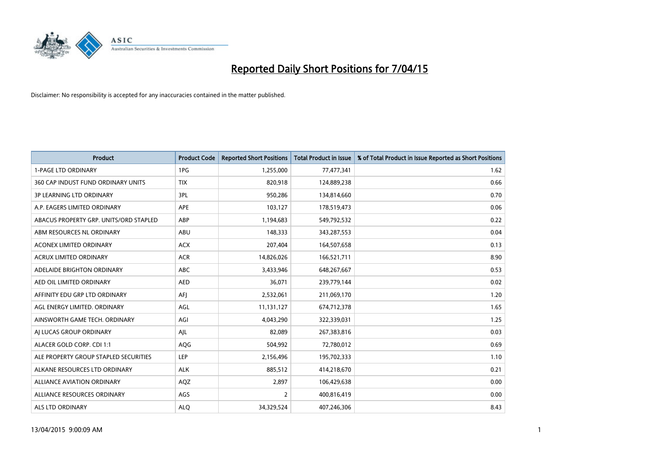

| <b>Product</b>                         | <b>Product Code</b> | <b>Reported Short Positions</b> | <b>Total Product in Issue</b> | % of Total Product in Issue Reported as Short Positions |
|----------------------------------------|---------------------|---------------------------------|-------------------------------|---------------------------------------------------------|
| <b>1-PAGE LTD ORDINARY</b>             | 1PG                 | 1,255,000                       | 77,477,341                    | 1.62                                                    |
| 360 CAP INDUST FUND ORDINARY UNITS     | <b>TIX</b>          | 820,918                         | 124,889,238                   | 0.66                                                    |
| <b>3P LEARNING LTD ORDINARY</b>        | 3PL                 | 950,286                         | 134,814,660                   | 0.70                                                    |
| A.P. EAGERS LIMITED ORDINARY           | <b>APE</b>          | 103,127                         | 178,519,473                   | 0.06                                                    |
| ABACUS PROPERTY GRP. UNITS/ORD STAPLED | ABP                 | 1,194,683                       | 549,792,532                   | 0.22                                                    |
| ABM RESOURCES NL ORDINARY              | ABU                 | 148,333                         | 343,287,553                   | 0.04                                                    |
| ACONEX LIMITED ORDINARY                | <b>ACX</b>          | 207,404                         | 164,507,658                   | 0.13                                                    |
| ACRUX LIMITED ORDINARY                 | <b>ACR</b>          | 14,826,026                      | 166,521,711                   | 8.90                                                    |
| ADELAIDE BRIGHTON ORDINARY             | <b>ABC</b>          | 3,433,946                       | 648,267,667                   | 0.53                                                    |
| AED OIL LIMITED ORDINARY               | <b>AED</b>          | 36,071                          | 239,779,144                   | 0.02                                                    |
| AFFINITY EDU GRP LTD ORDINARY          | AFJ                 | 2,532,061                       | 211,069,170                   | 1.20                                                    |
| AGL ENERGY LIMITED. ORDINARY           | AGL                 | 11,131,127                      | 674,712,378                   | 1.65                                                    |
| AINSWORTH GAME TECH. ORDINARY          | AGI                 | 4,043,290                       | 322,339,031                   | 1.25                                                    |
| AI LUCAS GROUP ORDINARY                | AJL                 | 82,089                          | 267,383,816                   | 0.03                                                    |
| ALACER GOLD CORP. CDI 1:1              | AQG                 | 504,992                         | 72,780,012                    | 0.69                                                    |
| ALE PROPERTY GROUP STAPLED SECURITIES  | LEP                 | 2,156,496                       | 195,702,333                   | 1.10                                                    |
| ALKANE RESOURCES LTD ORDINARY          | <b>ALK</b>          | 885,512                         | 414,218,670                   | 0.21                                                    |
| ALLIANCE AVIATION ORDINARY             | AQZ                 | 2,897                           | 106,429,638                   | 0.00                                                    |
| ALLIANCE RESOURCES ORDINARY            | AGS                 | $\overline{2}$                  | 400,816,419                   | 0.00                                                    |
| ALS LTD ORDINARY                       | <b>ALQ</b>          | 34,329,524                      | 407,246,306                   | 8.43                                                    |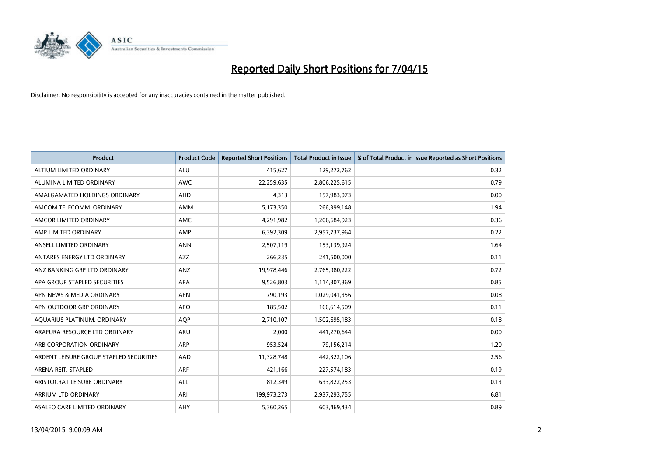

| <b>Product</b>                          | <b>Product Code</b> | <b>Reported Short Positions</b> | <b>Total Product in Issue</b> | % of Total Product in Issue Reported as Short Positions |
|-----------------------------------------|---------------------|---------------------------------|-------------------------------|---------------------------------------------------------|
| ALTIUM LIMITED ORDINARY                 | <b>ALU</b>          | 415,627                         | 129,272,762                   | 0.32                                                    |
| ALUMINA LIMITED ORDINARY                | AWC                 | 22,259,635                      | 2,806,225,615                 | 0.79                                                    |
| AMALGAMATED HOLDINGS ORDINARY           | AHD                 | 4,313                           | 157,983,073                   | 0.00                                                    |
| AMCOM TELECOMM. ORDINARY                | AMM                 | 5,173,350                       | 266,399,148                   | 1.94                                                    |
| AMCOR LIMITED ORDINARY                  | AMC                 | 4,291,982                       | 1,206,684,923                 | 0.36                                                    |
| AMP LIMITED ORDINARY                    | AMP                 | 6,392,309                       | 2,957,737,964                 | 0.22                                                    |
| ANSELL LIMITED ORDINARY                 | <b>ANN</b>          | 2,507,119                       | 153,139,924                   | 1.64                                                    |
| ANTARES ENERGY LTD ORDINARY             | AZZ                 | 266,235                         | 241,500,000                   | 0.11                                                    |
| ANZ BANKING GRP LTD ORDINARY            | ANZ                 | 19,978,446                      | 2,765,980,222                 | 0.72                                                    |
| APA GROUP STAPLED SECURITIES            | <b>APA</b>          | 9,526,803                       | 1,114,307,369                 | 0.85                                                    |
| APN NEWS & MEDIA ORDINARY               | <b>APN</b>          | 790,193                         | 1,029,041,356                 | 0.08                                                    |
| APN OUTDOOR GRP ORDINARY                | <b>APO</b>          | 185,502                         | 166,614,509                   | 0.11                                                    |
| AQUARIUS PLATINUM. ORDINARY             | <b>AOP</b>          | 2,710,107                       | 1,502,695,183                 | 0.18                                                    |
| ARAFURA RESOURCE LTD ORDINARY           | ARU                 | 2,000                           | 441,270,644                   | 0.00                                                    |
| ARB CORPORATION ORDINARY                | <b>ARP</b>          | 953,524                         | 79,156,214                    | 1.20                                                    |
| ARDENT LEISURE GROUP STAPLED SECURITIES | AAD                 | 11,328,748                      | 442,322,106                   | 2.56                                                    |
| ARENA REIT. STAPLED                     | <b>ARF</b>          | 421,166                         | 227,574,183                   | 0.19                                                    |
| ARISTOCRAT LEISURE ORDINARY             | <b>ALL</b>          | 812,349                         | 633,822,253                   | 0.13                                                    |
| ARRIUM LTD ORDINARY                     | ARI                 | 199,973,273                     | 2,937,293,755                 | 6.81                                                    |
| ASALEO CARE LIMITED ORDINARY            | AHY                 | 5,360,265                       | 603,469,434                   | 0.89                                                    |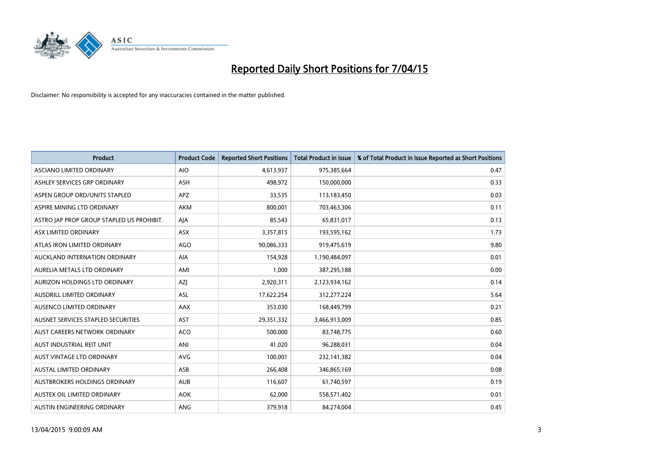

| <b>Product</b>                            | <b>Product Code</b> | <b>Reported Short Positions</b> | <b>Total Product in Issue</b> | % of Total Product in Issue Reported as Short Positions |
|-------------------------------------------|---------------------|---------------------------------|-------------------------------|---------------------------------------------------------|
| ASCIANO LIMITED ORDINARY                  | <b>AIO</b>          | 4,613,937                       | 975,385,664                   | 0.47                                                    |
| ASHLEY SERVICES GRP ORDINARY              | ASH                 | 498,972                         | 150,000,000                   | 0.33                                                    |
| ASPEN GROUP ORD/UNITS STAPLED             | APZ                 | 33,535                          | 113,183,450                   | 0.03                                                    |
| ASPIRE MINING LTD ORDINARY                | <b>AKM</b>          | 800,001                         | 703,463,306                   | 0.11                                                    |
| ASTRO JAP PROP GROUP STAPLED US PROHIBIT. | AJA                 | 85,543                          | 65,831,017                    | 0.13                                                    |
| ASX LIMITED ORDINARY                      | ASX                 | 3,357,815                       | 193,595,162                   | 1.73                                                    |
| ATLAS IRON LIMITED ORDINARY               | <b>AGO</b>          | 90,086,333                      | 919,475,619                   | 9.80                                                    |
| AUCKLAND INTERNATION ORDINARY             | AIA                 | 154,928                         | 1,190,484,097                 | 0.01                                                    |
| AURELIA METALS LTD ORDINARY               | AMI                 | 1,000                           | 387,295,188                   | 0.00                                                    |
| AURIZON HOLDINGS LTD ORDINARY             | AZJ                 | 2,920,311                       | 2,123,934,162                 | 0.14                                                    |
| AUSDRILL LIMITED ORDINARY                 | ASL                 | 17,622,254                      | 312,277,224                   | 5.64                                                    |
| AUSENCO LIMITED ORDINARY                  | AAX                 | 353,030                         | 168,449,799                   | 0.21                                                    |
| AUSNET SERVICES STAPLED SECURITIES        | <b>AST</b>          | 29,351,332                      | 3,466,913,009                 | 0.85                                                    |
| AUST CAREERS NETWORK ORDINARY             | ACO                 | 500,000                         | 83,748,775                    | 0.60                                                    |
| AUST INDUSTRIAL REIT UNIT                 | ANI                 | 41,020                          | 96,288,031                    | 0.04                                                    |
| AUST VINTAGE LTD ORDINARY                 | <b>AVG</b>          | 100,001                         | 232,141,382                   | 0.04                                                    |
| AUSTAL LIMITED ORDINARY                   | ASB                 | 266,408                         | 346,865,169                   | 0.08                                                    |
| AUSTBROKERS HOLDINGS ORDINARY             | <b>AUB</b>          | 116,607                         | 61,740,597                    | 0.19                                                    |
| AUSTEX OIL LIMITED ORDINARY               | <b>AOK</b>          | 62,000                          | 558,571,402                   | 0.01                                                    |
| AUSTIN ENGINEERING ORDINARY               | <b>ANG</b>          | 379,918                         | 84,274,004                    | 0.45                                                    |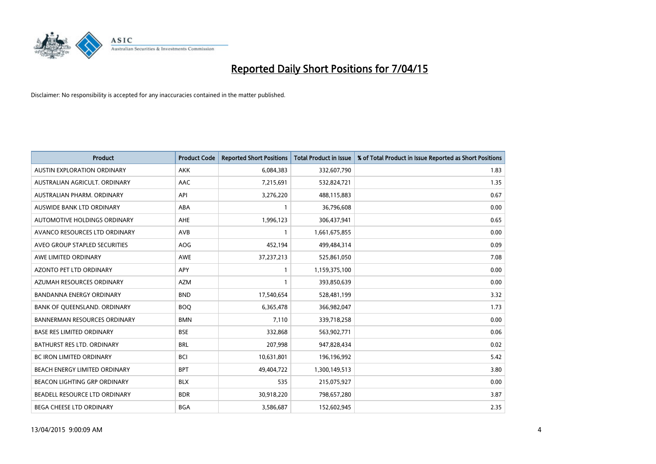

| <b>Product</b>                      | <b>Product Code</b> | <b>Reported Short Positions</b> | <b>Total Product in Issue</b> | % of Total Product in Issue Reported as Short Positions |
|-------------------------------------|---------------------|---------------------------------|-------------------------------|---------------------------------------------------------|
| <b>AUSTIN EXPLORATION ORDINARY</b>  | <b>AKK</b>          | 6,084,383                       | 332,607,790                   | 1.83                                                    |
| AUSTRALIAN AGRICULT. ORDINARY       | AAC                 | 7,215,691                       | 532,824,721                   | 1.35                                                    |
| AUSTRALIAN PHARM, ORDINARY          | API                 | 3,276,220                       | 488,115,883                   | 0.67                                                    |
| AUSWIDE BANK LTD ORDINARY           | ABA                 | $\mathbf{1}$                    | 36,796,608                    | 0.00                                                    |
| AUTOMOTIVE HOLDINGS ORDINARY        | AHE                 | 1,996,123                       | 306,437,941                   | 0.65                                                    |
| AVANCO RESOURCES LTD ORDINARY       | <b>AVB</b>          | $\mathbf{1}$                    | 1,661,675,855                 | 0.00                                                    |
| AVEO GROUP STAPLED SECURITIES       | AOG                 | 452,194                         | 499,484,314                   | 0.09                                                    |
| AWE LIMITED ORDINARY                | AWE                 | 37,237,213                      | 525,861,050                   | 7.08                                                    |
| <b>AZONTO PET LTD ORDINARY</b>      | APY                 | $\mathbf{1}$                    | 1,159,375,100                 | 0.00                                                    |
| AZUMAH RESOURCES ORDINARY           | <b>AZM</b>          | 1                               | 393,850,639                   | 0.00                                                    |
| BANDANNA ENERGY ORDINARY            | <b>BND</b>          | 17,540,654                      | 528,481,199                   | 3.32                                                    |
| BANK OF QUEENSLAND. ORDINARY        | <b>BOQ</b>          | 6,365,478                       | 366,982,047                   | 1.73                                                    |
| <b>BANNERMAN RESOURCES ORDINARY</b> | <b>BMN</b>          | 7,110                           | 339,718,258                   | 0.00                                                    |
| <b>BASE RES LIMITED ORDINARY</b>    | <b>BSE</b>          | 332,868                         | 563,902,771                   | 0.06                                                    |
| <b>BATHURST RES LTD. ORDINARY</b>   | <b>BRL</b>          | 207,998                         | 947,828,434                   | 0.02                                                    |
| BC IRON LIMITED ORDINARY            | <b>BCI</b>          | 10,631,801                      | 196,196,992                   | 5.42                                                    |
| BEACH ENERGY LIMITED ORDINARY       | <b>BPT</b>          | 49,404,722                      | 1,300,149,513                 | 3.80                                                    |
| BEACON LIGHTING GRP ORDINARY        | <b>BLX</b>          | 535                             | 215,075,927                   | 0.00                                                    |
| BEADELL RESOURCE LTD ORDINARY       | <b>BDR</b>          | 30,918,220                      | 798,657,280                   | 3.87                                                    |
| BEGA CHEESE LTD ORDINARY            | <b>BGA</b>          | 3,586,687                       | 152,602,945                   | 2.35                                                    |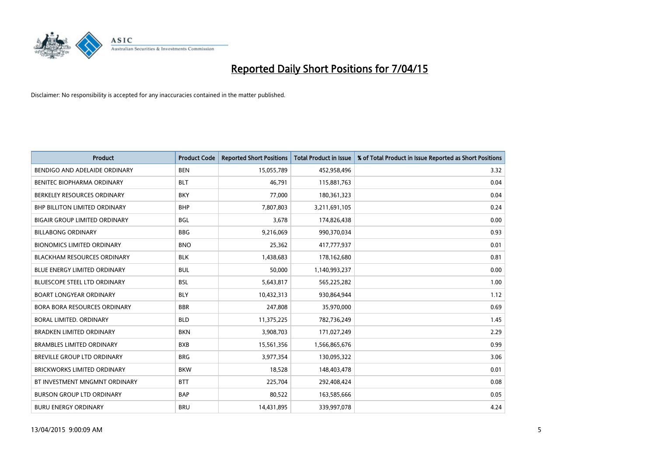

| <b>Product</b>                       | <b>Product Code</b> | <b>Reported Short Positions</b> | <b>Total Product in Issue</b> | % of Total Product in Issue Reported as Short Positions |
|--------------------------------------|---------------------|---------------------------------|-------------------------------|---------------------------------------------------------|
| BENDIGO AND ADELAIDE ORDINARY        | <b>BEN</b>          | 15,055,789                      | 452,958,496                   | 3.32                                                    |
| BENITEC BIOPHARMA ORDINARY           | <b>BLT</b>          | 46,791                          | 115,881,763                   | 0.04                                                    |
| BERKELEY RESOURCES ORDINARY          | <b>BKY</b>          | 77,000                          | 180,361,323                   | 0.04                                                    |
| <b>BHP BILLITON LIMITED ORDINARY</b> | <b>BHP</b>          | 7,807,803                       | 3,211,691,105                 | 0.24                                                    |
| <b>BIGAIR GROUP LIMITED ORDINARY</b> | <b>BGL</b>          | 3,678                           | 174,826,438                   | 0.00                                                    |
| <b>BILLABONG ORDINARY</b>            | <b>BBG</b>          | 9,216,069                       | 990,370,034                   | 0.93                                                    |
| <b>BIONOMICS LIMITED ORDINARY</b>    | <b>BNO</b>          | 25,362                          | 417,777,937                   | 0.01                                                    |
| <b>BLACKHAM RESOURCES ORDINARY</b>   | <b>BLK</b>          | 1,438,683                       | 178,162,680                   | 0.81                                                    |
| <b>BLUE ENERGY LIMITED ORDINARY</b>  | <b>BUL</b>          | 50.000                          | 1,140,993,237                 | 0.00                                                    |
| <b>BLUESCOPE STEEL LTD ORDINARY</b>  | <b>BSL</b>          | 5,643,817                       | 565,225,282                   | 1.00                                                    |
| <b>BOART LONGYEAR ORDINARY</b>       | <b>BLY</b>          | 10,432,313                      | 930,864,944                   | 1.12                                                    |
| <b>BORA BORA RESOURCES ORDINARY</b>  | <b>BBR</b>          | 247,808                         | 35,970,000                    | 0.69                                                    |
| BORAL LIMITED, ORDINARY              | <b>BLD</b>          | 11,375,225                      | 782,736,249                   | 1.45                                                    |
| <b>BRADKEN LIMITED ORDINARY</b>      | <b>BKN</b>          | 3,908,703                       | 171,027,249                   | 2.29                                                    |
| <b>BRAMBLES LIMITED ORDINARY</b>     | <b>BXB</b>          | 15,561,356                      | 1,566,865,676                 | 0.99                                                    |
| BREVILLE GROUP LTD ORDINARY          | <b>BRG</b>          | 3,977,354                       | 130,095,322                   | 3.06                                                    |
| BRICKWORKS LIMITED ORDINARY          | <b>BKW</b>          | 18,528                          | 148,403,478                   | 0.01                                                    |
| BT INVESTMENT MNGMNT ORDINARY        | <b>BTT</b>          | 225,704                         | 292,408,424                   | 0.08                                                    |
| <b>BURSON GROUP LTD ORDINARY</b>     | <b>BAP</b>          | 80,522                          | 163,585,666                   | 0.05                                                    |
| <b>BURU ENERGY ORDINARY</b>          | <b>BRU</b>          | 14,431,895                      | 339,997,078                   | 4.24                                                    |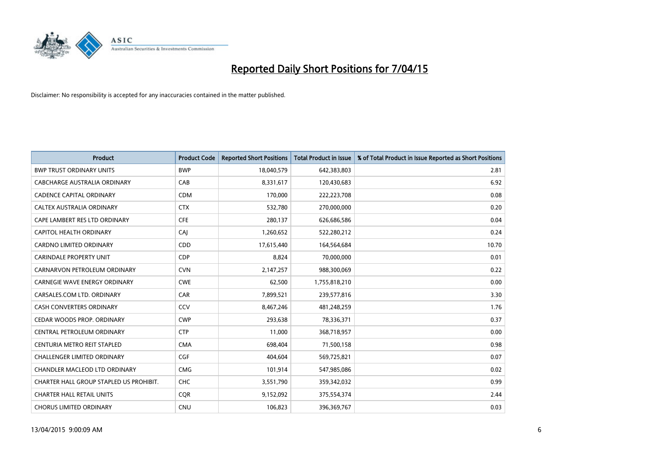

| <b>Product</b>                          | <b>Product Code</b> | <b>Reported Short Positions</b> | <b>Total Product in Issue</b> | % of Total Product in Issue Reported as Short Positions |
|-----------------------------------------|---------------------|---------------------------------|-------------------------------|---------------------------------------------------------|
| <b>BWP TRUST ORDINARY UNITS</b>         | <b>BWP</b>          | 18,040,579                      | 642,383,803                   | 2.81                                                    |
| CABCHARGE AUSTRALIA ORDINARY            | CAB                 | 8,331,617                       | 120,430,683                   | 6.92                                                    |
| <b>CADENCE CAPITAL ORDINARY</b>         | <b>CDM</b>          | 170,000                         | 222,223,708                   | 0.08                                                    |
| CALTEX AUSTRALIA ORDINARY               | <b>CTX</b>          | 532,780                         | 270,000,000                   | 0.20                                                    |
| CAPE LAMBERT RES LTD ORDINARY           | <b>CFE</b>          | 280,137                         | 626,686,586                   | 0.04                                                    |
| <b>CAPITOL HEALTH ORDINARY</b>          | CAJ                 | 1,260,652                       | 522,280,212                   | 0.24                                                    |
| CARDNO LIMITED ORDINARY                 | CDD                 | 17,615,440                      | 164,564,684                   | 10.70                                                   |
| CARINDALE PROPERTY UNIT                 | <b>CDP</b>          | 8,824                           | 70,000,000                    | 0.01                                                    |
| CARNARVON PETROLEUM ORDINARY            | <b>CVN</b>          | 2,147,257                       | 988,300,069                   | 0.22                                                    |
| <b>CARNEGIE WAVE ENERGY ORDINARY</b>    | <b>CWE</b>          | 62,500                          | 1,755,818,210                 | 0.00                                                    |
| CARSALES.COM LTD. ORDINARY              | CAR                 | 7,899,521                       | 239,577,816                   | 3.30                                                    |
| CASH CONVERTERS ORDINARY                | CCV                 | 8,467,246                       | 481,248,259                   | 1.76                                                    |
| CEDAR WOODS PROP. ORDINARY              | <b>CWP</b>          | 293,638                         | 78,336,371                    | 0.37                                                    |
| CENTRAL PETROLEUM ORDINARY              | <b>CTP</b>          | 11,000                          | 368,718,957                   | 0.00                                                    |
| CENTURIA METRO REIT STAPLED             | <b>CMA</b>          | 698,404                         | 71,500,158                    | 0.98                                                    |
| CHALLENGER LIMITED ORDINARY             | <b>CGF</b>          | 404,604                         | 569,725,821                   | 0.07                                                    |
| CHANDLER MACLEOD LTD ORDINARY           | <b>CMG</b>          | 101,914                         | 547,985,086                   | 0.02                                                    |
| CHARTER HALL GROUP STAPLED US PROHIBIT. | <b>CHC</b>          | 3,551,790                       | 359,342,032                   | 0.99                                                    |
| <b>CHARTER HALL RETAIL UNITS</b>        | <b>CQR</b>          | 9,152,092                       | 375,554,374                   | 2.44                                                    |
| <b>CHORUS LIMITED ORDINARY</b>          | <b>CNU</b>          | 106,823                         | 396,369,767                   | 0.03                                                    |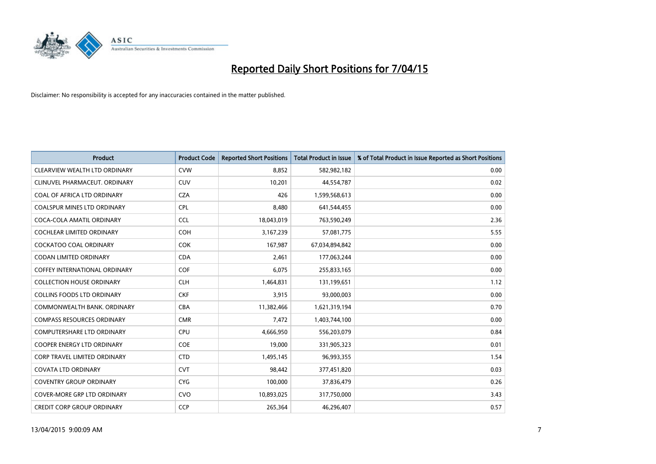

| <b>Product</b>                       | <b>Product Code</b> | <b>Reported Short Positions</b> | <b>Total Product in Issue</b> | % of Total Product in Issue Reported as Short Positions |
|--------------------------------------|---------------------|---------------------------------|-------------------------------|---------------------------------------------------------|
| CLEARVIEW WEALTH LTD ORDINARY        | <b>CVW</b>          | 8,852                           | 582,982,182                   | 0.00                                                    |
| CLINUVEL PHARMACEUT. ORDINARY        | <b>CUV</b>          | 10,201                          | 44,554,787                    | 0.02                                                    |
| COAL OF AFRICA LTD ORDINARY          | <b>CZA</b>          | 426                             | 1,599,568,613                 | 0.00                                                    |
| COALSPUR MINES LTD ORDINARY          | <b>CPL</b>          | 8,480                           | 641,544,455                   | 0.00                                                    |
| COCA-COLA AMATIL ORDINARY            | <b>CCL</b>          | 18,043,019                      | 763,590,249                   | 2.36                                                    |
| <b>COCHLEAR LIMITED ORDINARY</b>     | <b>COH</b>          | 3,167,239                       | 57,081,775                    | 5.55                                                    |
| COCKATOO COAL ORDINARY               | <b>COK</b>          | 167,987                         | 67,034,894,842                | 0.00                                                    |
| <b>CODAN LIMITED ORDINARY</b>        | <b>CDA</b>          | 2,461                           | 177,063,244                   | 0.00                                                    |
| <b>COFFEY INTERNATIONAL ORDINARY</b> | <b>COF</b>          | 6,075                           | 255,833,165                   | 0.00                                                    |
| <b>COLLECTION HOUSE ORDINARY</b>     | <b>CLH</b>          | 1,464,831                       | 131,199,651                   | 1.12                                                    |
| <b>COLLINS FOODS LTD ORDINARY</b>    | <b>CKF</b>          | 3,915                           | 93,000,003                    | 0.00                                                    |
| COMMONWEALTH BANK, ORDINARY          | <b>CBA</b>          | 11,382,466                      | 1,621,319,194                 | 0.70                                                    |
| <b>COMPASS RESOURCES ORDINARY</b>    | <b>CMR</b>          | 7,472                           | 1,403,744,100                 | 0.00                                                    |
| <b>COMPUTERSHARE LTD ORDINARY</b>    | <b>CPU</b>          | 4,666,950                       | 556,203,079                   | 0.84                                                    |
| <b>COOPER ENERGY LTD ORDINARY</b>    | <b>COE</b>          | 19,000                          | 331,905,323                   | 0.01                                                    |
| <b>CORP TRAVEL LIMITED ORDINARY</b>  | <b>CTD</b>          | 1,495,145                       | 96,993,355                    | 1.54                                                    |
| <b>COVATA LTD ORDINARY</b>           | <b>CVT</b>          | 98,442                          | 377,451,820                   | 0.03                                                    |
| <b>COVENTRY GROUP ORDINARY</b>       | <b>CYG</b>          | 100,000                         | 37,836,479                    | 0.26                                                    |
| <b>COVER-MORE GRP LTD ORDINARY</b>   | <b>CVO</b>          | 10,893,025                      | 317,750,000                   | 3.43                                                    |
| <b>CREDIT CORP GROUP ORDINARY</b>    | <b>CCP</b>          | 265,364                         | 46,296,407                    | 0.57                                                    |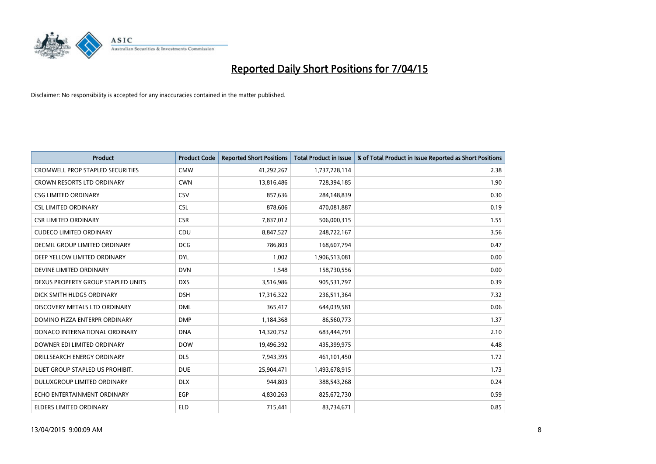

| <b>Product</b>                          | <b>Product Code</b> | <b>Reported Short Positions</b> | <b>Total Product in Issue</b> | % of Total Product in Issue Reported as Short Positions |
|-----------------------------------------|---------------------|---------------------------------|-------------------------------|---------------------------------------------------------|
| <b>CROMWELL PROP STAPLED SECURITIES</b> | <b>CMW</b>          | 41,292,267                      | 1,737,728,114                 | 2.38                                                    |
| <b>CROWN RESORTS LTD ORDINARY</b>       | <b>CWN</b>          | 13,816,486                      | 728,394,185                   | 1.90                                                    |
| <b>CSG LIMITED ORDINARY</b>             | CSV                 | 857,636                         | 284,148,839                   | 0.30                                                    |
| <b>CSL LIMITED ORDINARY</b>             | <b>CSL</b>          | 878,606                         | 470,081,887                   | 0.19                                                    |
| <b>CSR LIMITED ORDINARY</b>             | <b>CSR</b>          | 7,837,012                       | 506,000,315                   | 1.55                                                    |
| <b>CUDECO LIMITED ORDINARY</b>          | CDU                 | 8,847,527                       | 248,722,167                   | 3.56                                                    |
| DECMIL GROUP LIMITED ORDINARY           | <b>DCG</b>          | 786,803                         | 168,607,794                   | 0.47                                                    |
| DEEP YELLOW LIMITED ORDINARY            | <b>DYL</b>          | 1,002                           | 1,906,513,081                 | 0.00                                                    |
| DEVINE LIMITED ORDINARY                 | <b>DVN</b>          | 1,548                           | 158,730,556                   | 0.00                                                    |
| DEXUS PROPERTY GROUP STAPLED UNITS      | <b>DXS</b>          | 3,516,986                       | 905,531,797                   | 0.39                                                    |
| DICK SMITH HLDGS ORDINARY               | <b>DSH</b>          | 17,316,322                      | 236,511,364                   | 7.32                                                    |
| DISCOVERY METALS LTD ORDINARY           | <b>DML</b>          | 365,417                         | 644,039,581                   | 0.06                                                    |
| DOMINO PIZZA ENTERPR ORDINARY           | <b>DMP</b>          | 1,184,368                       | 86,560,773                    | 1.37                                                    |
| DONACO INTERNATIONAL ORDINARY           | <b>DNA</b>          | 14,320,752                      | 683,444,791                   | 2.10                                                    |
| DOWNER EDI LIMITED ORDINARY             | <b>DOW</b>          | 19,496,392                      | 435,399,975                   | 4.48                                                    |
| DRILLSEARCH ENERGY ORDINARY             | <b>DLS</b>          | 7,943,395                       | 461,101,450                   | 1.72                                                    |
| DUET GROUP STAPLED US PROHIBIT.         | <b>DUE</b>          | 25,904,471                      | 1,493,678,915                 | 1.73                                                    |
| DULUXGROUP LIMITED ORDINARY             | <b>DLX</b>          | 944.803                         | 388,543,268                   | 0.24                                                    |
| ECHO ENTERTAINMENT ORDINARY             | EGP                 | 4,830,263                       | 825,672,730                   | 0.59                                                    |
| <b>ELDERS LIMITED ORDINARY</b>          | <b>ELD</b>          | 715,441                         | 83,734,671                    | 0.85                                                    |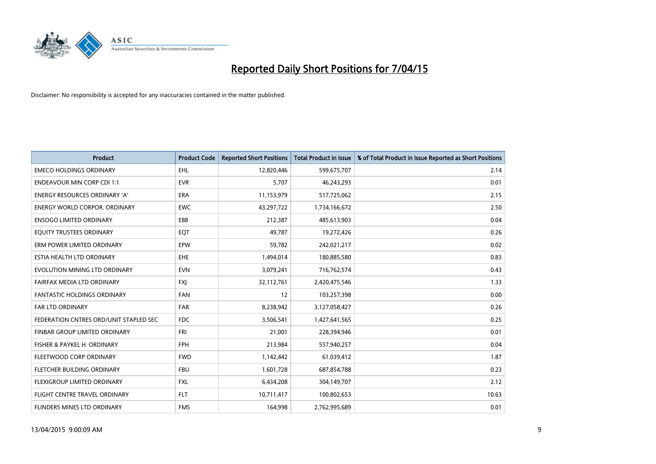

| <b>Product</b>                         | <b>Product Code</b> | <b>Reported Short Positions</b> | <b>Total Product in Issue</b> | % of Total Product in Issue Reported as Short Positions |
|----------------------------------------|---------------------|---------------------------------|-------------------------------|---------------------------------------------------------|
| <b>EMECO HOLDINGS ORDINARY</b>         | <b>EHL</b>          | 12,820,446                      | 599,675,707                   | 2.14                                                    |
| <b>ENDEAVOUR MIN CORP CDI 1:1</b>      | <b>EVR</b>          | 5,707                           | 46,243,293                    | 0.01                                                    |
| <b>ENERGY RESOURCES ORDINARY 'A'</b>   | <b>ERA</b>          | 11,153,979                      | 517,725,062                   | 2.15                                                    |
| ENERGY WORLD CORPOR. ORDINARY          | <b>EWC</b>          | 43,297,722                      | 1,734,166,672                 | 2.50                                                    |
| <b>ENSOGO LIMITED ORDINARY</b>         | E88                 | 212,387                         | 485,613,903                   | 0.04                                                    |
| EQUITY TRUSTEES ORDINARY               | EQT                 | 49,787                          | 19,272,426                    | 0.26                                                    |
| ERM POWER LIMITED ORDINARY             | <b>EPW</b>          | 59,782                          | 242,021,217                   | 0.02                                                    |
| ESTIA HEALTH LTD ORDINARY              | EHE                 | 1,494,014                       | 180,885,580                   | 0.83                                                    |
| EVOLUTION MINING LTD ORDINARY          | <b>EVN</b>          | 3,079,241                       | 716,762,574                   | 0.43                                                    |
| FAIRFAX MEDIA LTD ORDINARY             | <b>FXI</b>          | 32,112,761                      | 2,420,475,546                 | 1.33                                                    |
| FANTASTIC HOLDINGS ORDINARY            | <b>FAN</b>          | 12                              | 103,257,398                   | 0.00                                                    |
| <b>FAR LTD ORDINARY</b>                | <b>FAR</b>          | 8,238,942                       | 3,127,058,427                 | 0.26                                                    |
| FEDERATION CNTRES ORD/UNIT STAPLED SEC | <b>FDC</b>          | 3,506,541                       | 1,427,641,565                 | 0.25                                                    |
| FINBAR GROUP LIMITED ORDINARY          | <b>FRI</b>          | 21,001                          | 228,394,946                   | 0.01                                                    |
| FISHER & PAYKEL H. ORDINARY            | <b>FPH</b>          | 213,984                         | 557,940,257                   | 0.04                                                    |
| FLEETWOOD CORP ORDINARY                | <b>FWD</b>          | 1,142,442                       | 61,039,412                    | 1.87                                                    |
| FLETCHER BUILDING ORDINARY             | <b>FBU</b>          | 1,601,728                       | 687,854,788                   | 0.23                                                    |
| FLEXIGROUP LIMITED ORDINARY            | <b>FXL</b>          | 6,434,208                       | 304,149,707                   | 2.12                                                    |
| FLIGHT CENTRE TRAVEL ORDINARY          | <b>FLT</b>          | 10,711,417                      | 100,802,653                   | 10.63                                                   |
| FLINDERS MINES LTD ORDINARY            | <b>FMS</b>          | 164,998                         | 2,762,995,689                 | 0.01                                                    |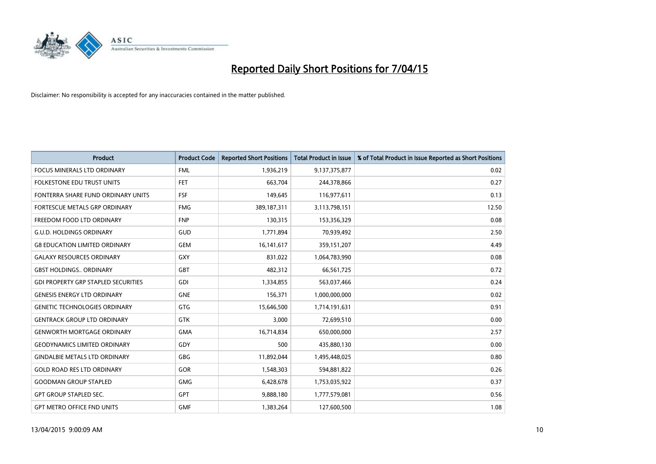

| <b>Product</b>                             | <b>Product Code</b> | <b>Reported Short Positions</b> | <b>Total Product in Issue</b> | % of Total Product in Issue Reported as Short Positions |
|--------------------------------------------|---------------------|---------------------------------|-------------------------------|---------------------------------------------------------|
| <b>FOCUS MINERALS LTD ORDINARY</b>         | <b>FML</b>          | 1,936,219                       | 9,137,375,877                 | 0.02                                                    |
| FOLKESTONE EDU TRUST UNITS                 | FET                 | 663,704                         | 244,378,866                   | 0.27                                                    |
| FONTERRA SHARE FUND ORDINARY UNITS         | <b>FSF</b>          | 149,645                         | 116,977,611                   | 0.13                                                    |
| FORTESCUE METALS GRP ORDINARY              | <b>FMG</b>          | 389,187,311                     | 3,113,798,151                 | 12.50                                                   |
| FREEDOM FOOD LTD ORDINARY                  | <b>FNP</b>          | 130,315                         | 153,356,329                   | 0.08                                                    |
| <b>G.U.D. HOLDINGS ORDINARY</b>            | <b>GUD</b>          | 1,771,894                       | 70,939,492                    | 2.50                                                    |
| <b>G8 EDUCATION LIMITED ORDINARY</b>       | <b>GEM</b>          | 16, 141, 617                    | 359,151,207                   | 4.49                                                    |
| <b>GALAXY RESOURCES ORDINARY</b>           | GXY                 | 831,022                         | 1,064,783,990                 | 0.08                                                    |
| <b>GBST HOLDINGS., ORDINARY</b>            | GBT                 | 482,312                         | 66,561,725                    | 0.72                                                    |
| <b>GDI PROPERTY GRP STAPLED SECURITIES</b> | GDI                 | 1,334,855                       | 563,037,466                   | 0.24                                                    |
| <b>GENESIS ENERGY LTD ORDINARY</b>         | <b>GNE</b>          | 156,371                         | 1,000,000,000                 | 0.02                                                    |
| <b>GENETIC TECHNOLOGIES ORDINARY</b>       | GTG                 | 15,646,500                      | 1,714,191,631                 | 0.91                                                    |
| <b>GENTRACK GROUP LTD ORDINARY</b>         | <b>GTK</b>          | 3,000                           | 72,699,510                    | 0.00                                                    |
| <b>GENWORTH MORTGAGE ORDINARY</b>          | <b>GMA</b>          | 16,714,834                      | 650,000,000                   | 2.57                                                    |
| <b>GEODYNAMICS LIMITED ORDINARY</b>        | GDY                 | 500                             | 435,880,130                   | 0.00                                                    |
| <b>GINDALBIE METALS LTD ORDINARY</b>       | GBG                 | 11,892,044                      | 1,495,448,025                 | 0.80                                                    |
| <b>GOLD ROAD RES LTD ORDINARY</b>          | GOR                 | 1,548,303                       | 594,881,822                   | 0.26                                                    |
| <b>GOODMAN GROUP STAPLED</b>               | <b>GMG</b>          | 6,428,678                       | 1,753,035,922                 | 0.37                                                    |
| <b>GPT GROUP STAPLED SEC.</b>              | <b>GPT</b>          | 9,888,180                       | 1,777,579,081                 | 0.56                                                    |
| <b>GPT METRO OFFICE FND UNITS</b>          | <b>GMF</b>          | 1,383,264                       | 127,600,500                   | 1.08                                                    |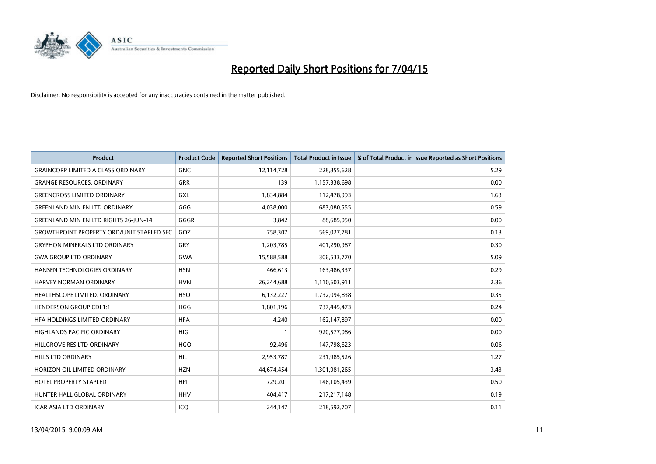

| <b>Product</b>                                   | <b>Product Code</b> | <b>Reported Short Positions</b> | <b>Total Product in Issue</b> | % of Total Product in Issue Reported as Short Positions |
|--------------------------------------------------|---------------------|---------------------------------|-------------------------------|---------------------------------------------------------|
| <b>GRAINCORP LIMITED A CLASS ORDINARY</b>        | <b>GNC</b>          | 12,114,728                      | 228,855,628                   | 5.29                                                    |
| <b>GRANGE RESOURCES. ORDINARY</b>                | GRR                 | 139                             | 1,157,338,698                 | 0.00                                                    |
| <b>GREENCROSS LIMITED ORDINARY</b>               | <b>GXL</b>          | 1,834,884                       | 112,478,993                   | 1.63                                                    |
| <b>GREENLAND MIN EN LTD ORDINARY</b>             | GGG                 | 4,038,000                       | 683,080,555                   | 0.59                                                    |
| <b>GREENLAND MIN EN LTD RIGHTS 26-JUN-14</b>     | GGGR                | 3,842                           | 88,685,050                    | 0.00                                                    |
| <b>GROWTHPOINT PROPERTY ORD/UNIT STAPLED SEC</b> | GOZ                 | 758,307                         | 569,027,781                   | 0.13                                                    |
| <b>GRYPHON MINERALS LTD ORDINARY</b>             | GRY                 | 1,203,785                       | 401,290,987                   | 0.30                                                    |
| <b>GWA GROUP LTD ORDINARY</b>                    | <b>GWA</b>          | 15,588,588                      | 306,533,770                   | 5.09                                                    |
| HANSEN TECHNOLOGIES ORDINARY                     | <b>HSN</b>          | 466,613                         | 163,486,337                   | 0.29                                                    |
| <b>HARVEY NORMAN ORDINARY</b>                    | <b>HVN</b>          | 26,244,688                      | 1,110,603,911                 | 2.36                                                    |
| HEALTHSCOPE LIMITED. ORDINARY                    | <b>HSO</b>          | 6,132,227                       | 1,732,094,838                 | 0.35                                                    |
| <b>HENDERSON GROUP CDI 1:1</b>                   | <b>HGG</b>          | 1,801,196                       | 737,445,473                   | 0.24                                                    |
| HFA HOLDINGS LIMITED ORDINARY                    | <b>HFA</b>          | 4,240                           | 162,147,897                   | 0.00                                                    |
| <b>HIGHLANDS PACIFIC ORDINARY</b>                | <b>HIG</b>          | $\mathbf{1}$                    | 920,577,086                   | 0.00                                                    |
| HILLGROVE RES LTD ORDINARY                       | <b>HGO</b>          | 92,496                          | 147,798,623                   | 0.06                                                    |
| HILLS LTD ORDINARY                               | HIL                 | 2,953,787                       | 231,985,526                   | 1.27                                                    |
| HORIZON OIL LIMITED ORDINARY                     | <b>HZN</b>          | 44,674,454                      | 1,301,981,265                 | 3.43                                                    |
| <b>HOTEL PROPERTY STAPLED</b>                    | <b>HPI</b>          | 729,201                         | 146,105,439                   | 0.50                                                    |
| HUNTER HALL GLOBAL ORDINARY                      | <b>HHV</b>          | 404,417                         | 217,217,148                   | 0.19                                                    |
| <b>ICAR ASIA LTD ORDINARY</b>                    | ICQ                 | 244,147                         | 218,592,707                   | 0.11                                                    |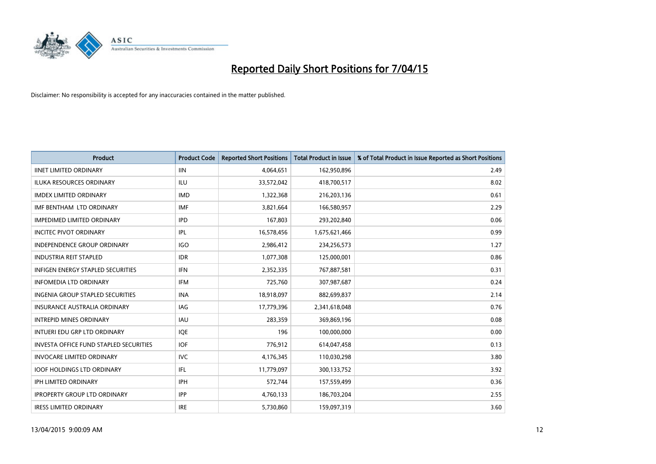

| <b>Product</b>                                | <b>Product Code</b> | <b>Reported Short Positions</b> | <b>Total Product in Issue</b> | % of Total Product in Issue Reported as Short Positions |
|-----------------------------------------------|---------------------|---------------------------------|-------------------------------|---------------------------------------------------------|
| <b>IINET LIMITED ORDINARY</b>                 | <b>IIN</b>          | 4,064,651                       | 162,950,896                   | 2.49                                                    |
| ILUKA RESOURCES ORDINARY                      | ILU                 | 33,572,042                      | 418,700,517                   | 8.02                                                    |
| <b>IMDEX LIMITED ORDINARY</b>                 | <b>IMD</b>          | 1,322,368                       | 216,203,136                   | 0.61                                                    |
| IMF BENTHAM LTD ORDINARY                      | <b>IMF</b>          | 3,821,664                       | 166,580,957                   | 2.29                                                    |
| <b>IMPEDIMED LIMITED ORDINARY</b>             | <b>IPD</b>          | 167,803                         | 293,202,840                   | 0.06                                                    |
| <b>INCITEC PIVOT ORDINARY</b>                 | IPL                 | 16,578,456                      | 1,675,621,466                 | 0.99                                                    |
| INDEPENDENCE GROUP ORDINARY                   | <b>IGO</b>          | 2,986,412                       | 234,256,573                   | 1.27                                                    |
| <b>INDUSTRIA REIT STAPLED</b>                 | <b>IDR</b>          | 1,077,308                       | 125,000,001                   | 0.86                                                    |
| <b>INFIGEN ENERGY STAPLED SECURITIES</b>      | <b>IFN</b>          | 2,352,335                       | 767,887,581                   | 0.31                                                    |
| <b>INFOMEDIA LTD ORDINARY</b>                 | <b>IFM</b>          | 725,760                         | 307,987,687                   | 0.24                                                    |
| INGENIA GROUP STAPLED SECURITIES              | <b>INA</b>          | 18,918,097                      | 882,699,837                   | 2.14                                                    |
| <b>INSURANCE AUSTRALIA ORDINARY</b>           | IAG                 | 17,779,396                      | 2,341,618,048                 | 0.76                                                    |
| <b>INTREPID MINES ORDINARY</b>                | <b>IAU</b>          | 283,359                         | 369,869,196                   | 0.08                                                    |
| INTUERI EDU GRP LTD ORDINARY                  | IQE                 | 196                             | 100,000,000                   | 0.00                                                    |
| <b>INVESTA OFFICE FUND STAPLED SECURITIES</b> | <b>IOF</b>          | 776,912                         | 614,047,458                   | 0.13                                                    |
| <b>INVOCARE LIMITED ORDINARY</b>              | <b>IVC</b>          | 4,176,345                       | 110,030,298                   | 3.80                                                    |
| <b>IOOF HOLDINGS LTD ORDINARY</b>             | IFL                 | 11,779,097                      | 300,133,752                   | 3.92                                                    |
| IPH LIMITED ORDINARY                          | <b>IPH</b>          | 572,744                         | 157,559,499                   | 0.36                                                    |
| <b>IPROPERTY GROUP LTD ORDINARY</b>           | <b>IPP</b>          | 4,760,133                       | 186,703,204                   | 2.55                                                    |
| <b>IRESS LIMITED ORDINARY</b>                 | <b>IRE</b>          | 5,730,860                       | 159,097,319                   | 3.60                                                    |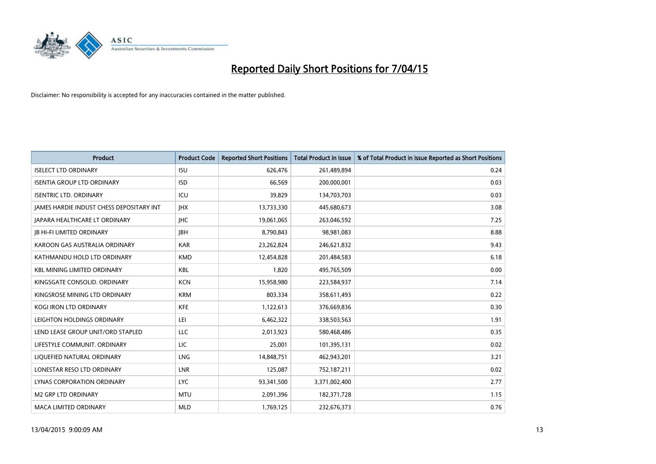

| <b>Product</b>                           | <b>Product Code</b> | <b>Reported Short Positions</b> | <b>Total Product in Issue</b> | % of Total Product in Issue Reported as Short Positions |
|------------------------------------------|---------------------|---------------------------------|-------------------------------|---------------------------------------------------------|
| <b>ISELECT LTD ORDINARY</b>              | <b>ISU</b>          | 626,476                         | 261,489,894                   | 0.24                                                    |
| <b>ISENTIA GROUP LTD ORDINARY</b>        | <b>ISD</b>          | 66,569                          | 200,000,001                   | 0.03                                                    |
| <b>ISENTRIC LTD. ORDINARY</b>            | ICU                 | 39,829                          | 134,703,703                   | 0.03                                                    |
| JAMES HARDIE INDUST CHESS DEPOSITARY INT | <b>IHX</b>          | 13,733,330                      | 445,680,673                   | 3.08                                                    |
| <b>JAPARA HEALTHCARE LT ORDINARY</b>     | <b>IHC</b>          | 19,061,065                      | 263,046,592                   | 7.25                                                    |
| <b>JB HI-FI LIMITED ORDINARY</b>         | <b>IBH</b>          | 8,790,843                       | 98,981,083                    | 8.88                                                    |
| KAROON GAS AUSTRALIA ORDINARY            | <b>KAR</b>          | 23,262,824                      | 246,621,832                   | 9.43                                                    |
| KATHMANDU HOLD LTD ORDINARY              | <b>KMD</b>          | 12,454,828                      | 201,484,583                   | 6.18                                                    |
| <b>KBL MINING LIMITED ORDINARY</b>       | <b>KBL</b>          | 1,820                           | 495,765,509                   | 0.00                                                    |
| KINGSGATE CONSOLID. ORDINARY             | <b>KCN</b>          | 15,958,980                      | 223,584,937                   | 7.14                                                    |
| KINGSROSE MINING LTD ORDINARY            | <b>KRM</b>          | 803,334                         | 358,611,493                   | 0.22                                                    |
| <b>KOGI IRON LTD ORDINARY</b>            | KFE                 | 1,122,613                       | 376,669,836                   | 0.30                                                    |
| LEIGHTON HOLDINGS ORDINARY               | LEI                 | 6,462,322                       | 338,503,563                   | 1.91                                                    |
| LEND LEASE GROUP UNIT/ORD STAPLED        | LLC                 | 2,013,923                       | 580,468,486                   | 0.35                                                    |
| LIFESTYLE COMMUNIT, ORDINARY             | <b>LIC</b>          | 25,001                          | 101,395,131                   | 0.02                                                    |
| LIQUEFIED NATURAL ORDINARY               | LNG                 | 14,848,751                      | 462,943,201                   | 3.21                                                    |
| LONESTAR RESO LTD ORDINARY               | LNR                 | 125,087                         | 752,187,211                   | 0.02                                                    |
| LYNAS CORPORATION ORDINARY               | <b>LYC</b>          | 93,341,500                      | 3,371,002,400                 | 2.77                                                    |
| M2 GRP LTD ORDINARY                      | <b>MTU</b>          | 2,091,396                       | 182,371,728                   | 1.15                                                    |
| <b>MACA LIMITED ORDINARY</b>             | <b>MLD</b>          | 1,769,125                       | 232,676,373                   | 0.76                                                    |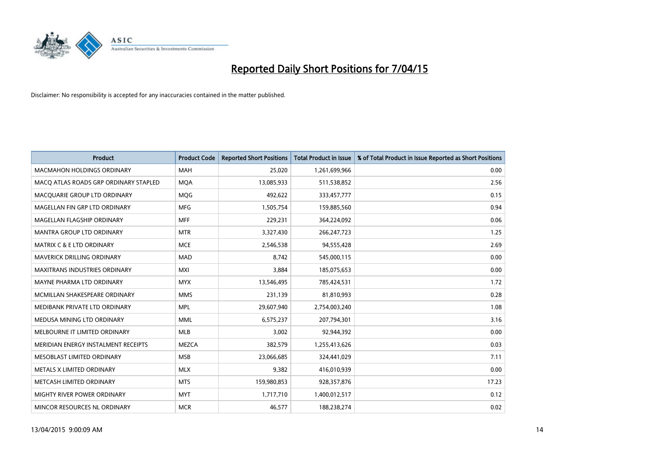

| <b>Product</b>                        | <b>Product Code</b> | <b>Reported Short Positions</b> | <b>Total Product in Issue</b> | % of Total Product in Issue Reported as Short Positions |
|---------------------------------------|---------------------|---------------------------------|-------------------------------|---------------------------------------------------------|
| <b>MACMAHON HOLDINGS ORDINARY</b>     | <b>MAH</b>          | 25,020                          | 1,261,699,966                 | 0.00                                                    |
| MACO ATLAS ROADS GRP ORDINARY STAPLED | <b>MOA</b>          | 13,085,933                      | 511,538,852                   | 2.56                                                    |
| MACQUARIE GROUP LTD ORDINARY          | <b>MOG</b>          | 492,622                         | 333,457,777                   | 0.15                                                    |
| MAGELLAN FIN GRP LTD ORDINARY         | <b>MFG</b>          | 1,505,754                       | 159,885,560                   | 0.94                                                    |
| MAGELLAN FLAGSHIP ORDINARY            | <b>MFF</b>          | 229,231                         | 364,224,092                   | 0.06                                                    |
| <b>MANTRA GROUP LTD ORDINARY</b>      | <b>MTR</b>          | 3,327,430                       | 266, 247, 723                 | 1.25                                                    |
| <b>MATRIX C &amp; E LTD ORDINARY</b>  | <b>MCE</b>          | 2,546,538                       | 94,555,428                    | 2.69                                                    |
| MAVERICK DRILLING ORDINARY            | <b>MAD</b>          | 8,742                           | 545,000,115                   | 0.00                                                    |
| <b>MAXITRANS INDUSTRIES ORDINARY</b>  | <b>MXI</b>          | 3,884                           | 185,075,653                   | 0.00                                                    |
| MAYNE PHARMA LTD ORDINARY             | <b>MYX</b>          | 13,546,495                      | 785,424,531                   | 1.72                                                    |
| MCMILLAN SHAKESPEARE ORDINARY         | <b>MMS</b>          | 231,139                         | 81,810,993                    | 0.28                                                    |
| MEDIBANK PRIVATE LTD ORDINARY         | <b>MPL</b>          | 29,607,940                      | 2,754,003,240                 | 1.08                                                    |
| MEDUSA MINING LTD ORDINARY            | <b>MML</b>          | 6,575,237                       | 207,794,301                   | 3.16                                                    |
| MELBOURNE IT LIMITED ORDINARY         | <b>MLB</b>          | 3,002                           | 92,944,392                    | 0.00                                                    |
| MERIDIAN ENERGY INSTALMENT RECEIPTS   | <b>MEZCA</b>        | 382,579                         | 1,255,413,626                 | 0.03                                                    |
| MESOBLAST LIMITED ORDINARY            | <b>MSB</b>          | 23,066,685                      | 324,441,029                   | 7.11                                                    |
| METALS X LIMITED ORDINARY             | <b>MLX</b>          | 9,382                           | 416,010,939                   | 0.00                                                    |
| METCASH LIMITED ORDINARY              | <b>MTS</b>          | 159,980,853                     | 928,357,876                   | 17.23                                                   |
| MIGHTY RIVER POWER ORDINARY           | <b>MYT</b>          | 1,717,710                       | 1,400,012,517                 | 0.12                                                    |
| MINCOR RESOURCES NL ORDINARY          | <b>MCR</b>          | 46,577                          | 188,238,274                   | 0.02                                                    |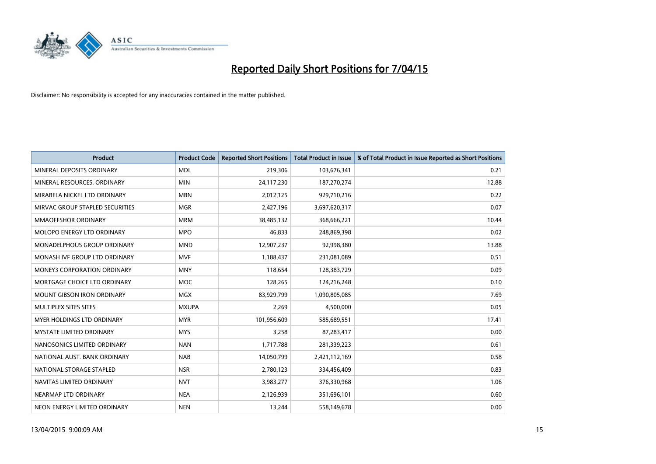

| <b>Product</b>                     | <b>Product Code</b> | <b>Reported Short Positions</b> | <b>Total Product in Issue</b> | % of Total Product in Issue Reported as Short Positions |
|------------------------------------|---------------------|---------------------------------|-------------------------------|---------------------------------------------------------|
| MINERAL DEPOSITS ORDINARY          | <b>MDL</b>          | 219,306                         | 103,676,341                   | 0.21                                                    |
| MINERAL RESOURCES. ORDINARY        | <b>MIN</b>          | 24,117,230                      | 187,270,274                   | 12.88                                                   |
| MIRABELA NICKEL LTD ORDINARY       | <b>MBN</b>          | 2,012,125                       | 929,710,216                   | 0.22                                                    |
| MIRVAC GROUP STAPLED SECURITIES    | <b>MGR</b>          | 2,427,196                       | 3,697,620,317                 | 0.07                                                    |
| MMAOFFSHOR ORDINARY                | <b>MRM</b>          | 38,485,132                      | 368,666,221                   | 10.44                                                   |
| MOLOPO ENERGY LTD ORDINARY         | <b>MPO</b>          | 46,833                          | 248,869,398                   | 0.02                                                    |
| <b>MONADELPHOUS GROUP ORDINARY</b> | <b>MND</b>          | 12,907,237                      | 92,998,380                    | 13.88                                                   |
| MONASH IVF GROUP LTD ORDINARY      | <b>MVF</b>          | 1,188,437                       | 231,081,089                   | 0.51                                                    |
| <b>MONEY3 CORPORATION ORDINARY</b> | <b>MNY</b>          | 118,654                         | 128,383,729                   | 0.09                                                    |
| MORTGAGE CHOICE LTD ORDINARY       | <b>MOC</b>          | 128,265                         | 124,216,248                   | 0.10                                                    |
| MOUNT GIBSON IRON ORDINARY         | <b>MGX</b>          | 83,929,799                      | 1,090,805,085                 | 7.69                                                    |
| MULTIPLEX SITES SITES              | <b>MXUPA</b>        | 2,269                           | 4,500,000                     | 0.05                                                    |
| MYER HOLDINGS LTD ORDINARY         | <b>MYR</b>          | 101,956,609                     | 585,689,551                   | 17.41                                                   |
| <b>MYSTATE LIMITED ORDINARY</b>    | <b>MYS</b>          | 3,258                           | 87,283,417                    | 0.00                                                    |
| NANOSONICS LIMITED ORDINARY        | <b>NAN</b>          | 1,717,788                       | 281,339,223                   | 0.61                                                    |
| NATIONAL AUST. BANK ORDINARY       | <b>NAB</b>          | 14,050,799                      | 2,421,112,169                 | 0.58                                                    |
| NATIONAL STORAGE STAPLED           | <b>NSR</b>          | 2,780,123                       | 334,456,409                   | 0.83                                                    |
| NAVITAS LIMITED ORDINARY           | <b>NVT</b>          | 3,983,277                       | 376,330,968                   | 1.06                                                    |
| NEARMAP LTD ORDINARY               | <b>NEA</b>          | 2,126,939                       | 351,696,101                   | 0.60                                                    |
| NEON ENERGY LIMITED ORDINARY       | <b>NEN</b>          | 13,244                          | 558,149,678                   | 0.00                                                    |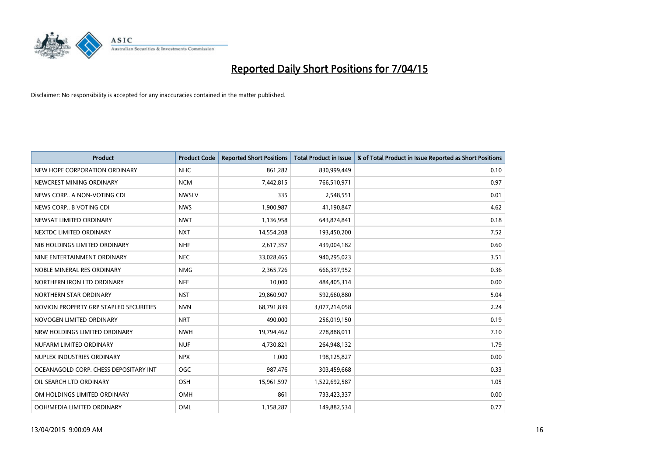

| <b>Product</b>                         | <b>Product Code</b> | <b>Reported Short Positions</b> | <b>Total Product in Issue</b> | % of Total Product in Issue Reported as Short Positions |
|----------------------------------------|---------------------|---------------------------------|-------------------------------|---------------------------------------------------------|
| NEW HOPE CORPORATION ORDINARY          | <b>NHC</b>          | 861,282                         | 830,999,449                   | 0.10                                                    |
| NEWCREST MINING ORDINARY               | <b>NCM</b>          | 7,442,815                       | 766,510,971                   | 0.97                                                    |
| NEWS CORP A NON-VOTING CDI             | <b>NWSLV</b>        | 335                             | 2,548,551                     | 0.01                                                    |
| NEWS CORP B VOTING CDI                 | <b>NWS</b>          | 1,900,987                       | 41,190,847                    | 4.62                                                    |
| NEWSAT LIMITED ORDINARY                | <b>NWT</b>          | 1,136,958                       | 643,874,841                   | 0.18                                                    |
| NEXTDC LIMITED ORDINARY                | <b>NXT</b>          | 14,554,208                      | 193,450,200                   | 7.52                                                    |
| NIB HOLDINGS LIMITED ORDINARY          | <b>NHF</b>          | 2,617,357                       | 439,004,182                   | 0.60                                                    |
| NINE ENTERTAINMENT ORDINARY            | <b>NEC</b>          | 33,028,465                      | 940,295,023                   | 3.51                                                    |
| NOBLE MINERAL RES ORDINARY             | <b>NMG</b>          | 2,365,726                       | 666,397,952                   | 0.36                                                    |
| NORTHERN IRON LTD ORDINARY             | <b>NFE</b>          | 10,000                          | 484,405,314                   | 0.00                                                    |
| NORTHERN STAR ORDINARY                 | <b>NST</b>          | 29,860,907                      | 592,660,880                   | 5.04                                                    |
| NOVION PROPERTY GRP STAPLED SECURITIES | <b>NVN</b>          | 68,791,839                      | 3,077,214,058                 | 2.24                                                    |
| NOVOGEN LIMITED ORDINARY               | <b>NRT</b>          | 490,000                         | 256,019,150                   | 0.19                                                    |
| NRW HOLDINGS LIMITED ORDINARY          | <b>NWH</b>          | 19,794,462                      | 278,888,011                   | 7.10                                                    |
| NUFARM LIMITED ORDINARY                | <b>NUF</b>          | 4,730,821                       | 264,948,132                   | 1.79                                                    |
| NUPLEX INDUSTRIES ORDINARY             | <b>NPX</b>          | 1,000                           | 198,125,827                   | 0.00                                                    |
| OCEANAGOLD CORP. CHESS DEPOSITARY INT  | <b>OGC</b>          | 987,476                         | 303,459,668                   | 0.33                                                    |
| OIL SEARCH LTD ORDINARY                | OSH                 | 15,961,597                      | 1,522,692,587                 | 1.05                                                    |
| OM HOLDINGS LIMITED ORDINARY           | <b>OMH</b>          | 861                             | 733,423,337                   | 0.00                                                    |
| OOH!MEDIA LIMITED ORDINARY             | OML                 | 1,158,287                       | 149,882,534                   | 0.77                                                    |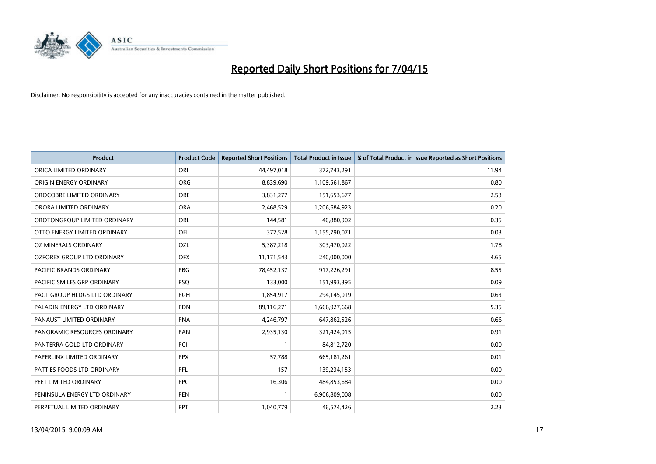

| <b>Product</b>                | <b>Product Code</b> | <b>Reported Short Positions</b> | <b>Total Product in Issue</b> | % of Total Product in Issue Reported as Short Positions |
|-------------------------------|---------------------|---------------------------------|-------------------------------|---------------------------------------------------------|
| ORICA LIMITED ORDINARY        | ORI                 | 44,497,018                      | 372,743,291                   | 11.94                                                   |
| ORIGIN ENERGY ORDINARY        | <b>ORG</b>          | 8,839,690                       | 1,109,561,867                 | 0.80                                                    |
| OROCOBRE LIMITED ORDINARY     | <b>ORE</b>          | 3,831,277                       | 151,653,677                   | 2.53                                                    |
| ORORA LIMITED ORDINARY        | <b>ORA</b>          | 2,468,529                       | 1,206,684,923                 | 0.20                                                    |
| OROTONGROUP LIMITED ORDINARY  | ORL                 | 144,581                         | 40,880,902                    | 0.35                                                    |
| OTTO ENERGY LIMITED ORDINARY  | <b>OEL</b>          | 377,528                         | 1,155,790,071                 | 0.03                                                    |
| OZ MINERALS ORDINARY          | <b>OZL</b>          | 5,387,218                       | 303,470,022                   | 1.78                                                    |
| OZFOREX GROUP LTD ORDINARY    | <b>OFX</b>          | 11,171,543                      | 240,000,000                   | 4.65                                                    |
| PACIFIC BRANDS ORDINARY       | <b>PBG</b>          | 78,452,137                      | 917,226,291                   | 8.55                                                    |
| PACIFIC SMILES GRP ORDINARY   | <b>PSQ</b>          | 133,000                         | 151,993,395                   | 0.09                                                    |
| PACT GROUP HLDGS LTD ORDINARY | PGH                 | 1,854,917                       | 294,145,019                   | 0.63                                                    |
| PALADIN ENERGY LTD ORDINARY   | <b>PDN</b>          | 89,116,271                      | 1,666,927,668                 | 5.35                                                    |
| PANAUST LIMITED ORDINARY      | <b>PNA</b>          | 4,246,797                       | 647,862,526                   | 0.66                                                    |
| PANORAMIC RESOURCES ORDINARY  | PAN                 | 2,935,130                       | 321,424,015                   | 0.91                                                    |
| PANTERRA GOLD LTD ORDINARY    | PGI                 | $\mathbf{1}$                    | 84,812,720                    | 0.00                                                    |
| PAPERLINX LIMITED ORDINARY    | <b>PPX</b>          | 57,788                          | 665, 181, 261                 | 0.01                                                    |
| PATTIES FOODS LTD ORDINARY    | PFL                 | 157                             | 139,234,153                   | 0.00                                                    |
| PEET LIMITED ORDINARY         | <b>PPC</b>          | 16,306                          | 484,853,684                   | 0.00                                                    |
| PENINSULA ENERGY LTD ORDINARY | <b>PEN</b>          | $\mathbf{1}$                    | 6,906,809,008                 | 0.00                                                    |
| PERPETUAL LIMITED ORDINARY    | <b>PPT</b>          | 1,040,779                       | 46,574,426                    | 2.23                                                    |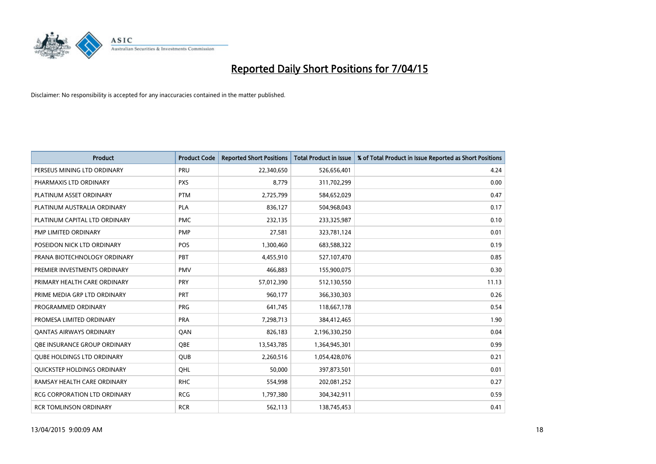

| <b>Product</b>                      | <b>Product Code</b> | <b>Reported Short Positions</b> | <b>Total Product in Issue</b> | % of Total Product in Issue Reported as Short Positions |
|-------------------------------------|---------------------|---------------------------------|-------------------------------|---------------------------------------------------------|
| PERSEUS MINING LTD ORDINARY         | PRU                 | 22,340,650                      | 526,656,401                   | 4.24                                                    |
| PHARMAXIS LTD ORDINARY              | <b>PXS</b>          | 8,779                           | 311,702,299                   | 0.00                                                    |
| PLATINUM ASSET ORDINARY             | <b>PTM</b>          | 2,725,799                       | 584,652,029                   | 0.47                                                    |
| PLATINUM AUSTRALIA ORDINARY         | <b>PLA</b>          | 836,127                         | 504,968,043                   | 0.17                                                    |
| PLATINUM CAPITAL LTD ORDINARY       | <b>PMC</b>          | 232,135                         | 233,325,987                   | 0.10                                                    |
| PMP LIMITED ORDINARY                | <b>PMP</b>          | 27,581                          | 323,781,124                   | 0.01                                                    |
| POSEIDON NICK LTD ORDINARY          | <b>POS</b>          | 1,300,460                       | 683,588,322                   | 0.19                                                    |
| PRANA BIOTECHNOLOGY ORDINARY        | PBT                 | 4,455,910                       | 527,107,470                   | 0.85                                                    |
| PREMIER INVESTMENTS ORDINARY        | <b>PMV</b>          | 466,883                         | 155,900,075                   | 0.30                                                    |
| PRIMARY HEALTH CARE ORDINARY        | <b>PRY</b>          | 57,012,390                      | 512,130,550                   | 11.13                                                   |
| PRIME MEDIA GRP LTD ORDINARY        | PRT                 | 960,177                         | 366,330,303                   | 0.26                                                    |
| PROGRAMMED ORDINARY                 | <b>PRG</b>          | 641,745                         | 118,667,178                   | 0.54                                                    |
| PROMESA LIMITED ORDINARY            | <b>PRA</b>          | 7,298,713                       | 384,412,465                   | 1.90                                                    |
| <b>QANTAS AIRWAYS ORDINARY</b>      | QAN                 | 826,183                         | 2,196,330,250                 | 0.04                                                    |
| OBE INSURANCE GROUP ORDINARY        | <b>OBE</b>          | 13,543,785                      | 1,364,945,301                 | 0.99                                                    |
| <b>QUBE HOLDINGS LTD ORDINARY</b>   | <b>QUB</b>          | 2,260,516                       | 1,054,428,076                 | 0.21                                                    |
| QUICKSTEP HOLDINGS ORDINARY         | OHL                 | 50,000                          | 397,873,501                   | 0.01                                                    |
| RAMSAY HEALTH CARE ORDINARY         | <b>RHC</b>          | 554,998                         | 202,081,252                   | 0.27                                                    |
| <b>RCG CORPORATION LTD ORDINARY</b> | <b>RCG</b>          | 1,797,380                       | 304,342,911                   | 0.59                                                    |
| <b>RCR TOMLINSON ORDINARY</b>       | <b>RCR</b>          | 562,113                         | 138,745,453                   | 0.41                                                    |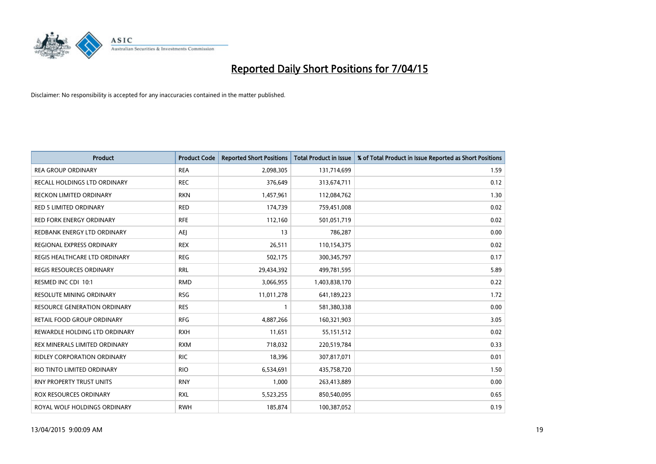

| <b>Product</b>                      | <b>Product Code</b> | <b>Reported Short Positions</b> | <b>Total Product in Issue</b> | % of Total Product in Issue Reported as Short Positions |
|-------------------------------------|---------------------|---------------------------------|-------------------------------|---------------------------------------------------------|
| <b>REA GROUP ORDINARY</b>           | <b>REA</b>          | 2,098,305                       | 131,714,699                   | 1.59                                                    |
| RECALL HOLDINGS LTD ORDINARY        | <b>REC</b>          | 376,649                         | 313,674,711                   | 0.12                                                    |
| <b>RECKON LIMITED ORDINARY</b>      | <b>RKN</b>          | 1,457,961                       | 112,084,762                   | 1.30                                                    |
| <b>RED 5 LIMITED ORDINARY</b>       | <b>RED</b>          | 174,739                         | 759,451,008                   | 0.02                                                    |
| <b>RED FORK ENERGY ORDINARY</b>     | <b>RFE</b>          | 112,160                         | 501,051,719                   | 0.02                                                    |
| REDBANK ENERGY LTD ORDINARY         | <b>AEI</b>          | 13                              | 786,287                       | 0.00                                                    |
| REGIONAL EXPRESS ORDINARY           | <b>REX</b>          | 26,511                          | 110,154,375                   | 0.02                                                    |
| REGIS HEALTHCARE LTD ORDINARY       | <b>REG</b>          | 502,175                         | 300, 345, 797                 | 0.17                                                    |
| <b>REGIS RESOURCES ORDINARY</b>     | <b>RRL</b>          | 29,434,392                      | 499,781,595                   | 5.89                                                    |
| RESMED INC CDI 10:1                 | <b>RMD</b>          | 3,066,955                       | 1,403,838,170                 | 0.22                                                    |
| RESOLUTE MINING ORDINARY            | <b>RSG</b>          | 11,011,278                      | 641,189,223                   | 1.72                                                    |
| <b>RESOURCE GENERATION ORDINARY</b> | <b>RES</b>          | $\mathbf{1}$                    | 581,380,338                   | 0.00                                                    |
| RETAIL FOOD GROUP ORDINARY          | <b>RFG</b>          | 4,887,266                       | 160,321,903                   | 3.05                                                    |
| REWARDLE HOLDING LTD ORDINARY       | <b>RXH</b>          | 11,651                          | 55,151,512                    | 0.02                                                    |
| REX MINERALS LIMITED ORDINARY       | <b>RXM</b>          | 718,032                         | 220,519,784                   | 0.33                                                    |
| RIDLEY CORPORATION ORDINARY         | <b>RIC</b>          | 18,396                          | 307,817,071                   | 0.01                                                    |
| RIO TINTO LIMITED ORDINARY          | <b>RIO</b>          | 6,534,691                       | 435,758,720                   | 1.50                                                    |
| RNY PROPERTY TRUST UNITS            | <b>RNY</b>          | 1,000                           | 263,413,889                   | 0.00                                                    |
| <b>ROX RESOURCES ORDINARY</b>       | <b>RXL</b>          | 5,523,255                       | 850,540,095                   | 0.65                                                    |
| ROYAL WOLF HOLDINGS ORDINARY        | <b>RWH</b>          | 185,874                         | 100,387,052                   | 0.19                                                    |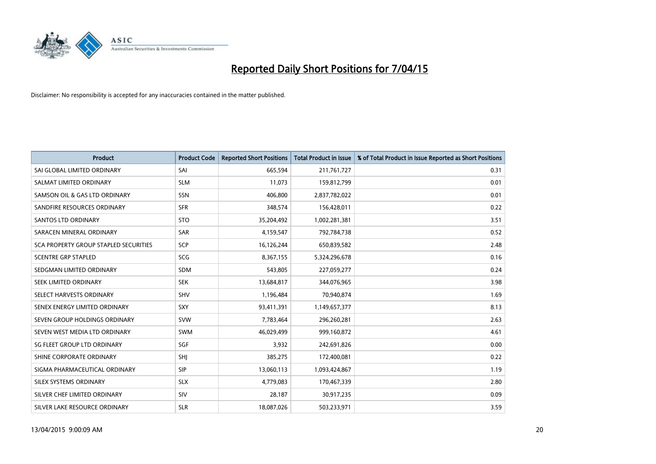

| <b>Product</b>                        | <b>Product Code</b> | <b>Reported Short Positions</b> | <b>Total Product in Issue</b> | % of Total Product in Issue Reported as Short Positions |
|---------------------------------------|---------------------|---------------------------------|-------------------------------|---------------------------------------------------------|
| SAI GLOBAL LIMITED ORDINARY           | SAI                 | 665,594                         | 211,761,727                   | 0.31                                                    |
| SALMAT LIMITED ORDINARY               | <b>SLM</b>          | 11,073                          | 159,812,799                   | 0.01                                                    |
| SAMSON OIL & GAS LTD ORDINARY         | SSN                 | 406,800                         | 2,837,782,022                 | 0.01                                                    |
| SANDFIRE RESOURCES ORDINARY           | <b>SFR</b>          | 348,574                         | 156,428,011                   | 0.22                                                    |
| <b>SANTOS LTD ORDINARY</b>            | <b>STO</b>          | 35,204,492                      | 1,002,281,381                 | 3.51                                                    |
| SARACEN MINERAL ORDINARY              | SAR                 | 4,159,547                       | 792,784,738                   | 0.52                                                    |
| SCA PROPERTY GROUP STAPLED SECURITIES | SCP                 | 16,126,244                      | 650,839,582                   | 2.48                                                    |
| <b>SCENTRE GRP STAPLED</b>            | SCG                 | 8,367,155                       | 5,324,296,678                 | 0.16                                                    |
| SEDGMAN LIMITED ORDINARY              | <b>SDM</b>          | 543,805                         | 227,059,277                   | 0.24                                                    |
| SEEK LIMITED ORDINARY                 | <b>SEK</b>          | 13,684,817                      | 344,076,965                   | 3.98                                                    |
| SELECT HARVESTS ORDINARY              | <b>SHV</b>          | 1,196,484                       | 70,940,874                    | 1.69                                                    |
| SENEX ENERGY LIMITED ORDINARY         | SXY                 | 93,411,391                      | 1,149,657,377                 | 8.13                                                    |
| SEVEN GROUP HOLDINGS ORDINARY         | <b>SVW</b>          | 7,783,464                       | 296,260,281                   | 2.63                                                    |
| SEVEN WEST MEDIA LTD ORDINARY         | <b>SWM</b>          | 46,029,499                      | 999,160,872                   | 4.61                                                    |
| SG FLEET GROUP LTD ORDINARY           | SGF                 | 3,932                           | 242,691,826                   | 0.00                                                    |
| SHINE CORPORATE ORDINARY              | SHJ                 | 385,275                         | 172,400,081                   | 0.22                                                    |
| SIGMA PHARMACEUTICAL ORDINARY         | <b>SIP</b>          | 13,060,113                      | 1,093,424,867                 | 1.19                                                    |
| SILEX SYSTEMS ORDINARY                | <b>SLX</b>          | 4,779,083                       | 170,467,339                   | 2.80                                                    |
| SILVER CHEF LIMITED ORDINARY          | <b>SIV</b>          | 28,187                          | 30,917,235                    | 0.09                                                    |
| SILVER LAKE RESOURCE ORDINARY         | <b>SLR</b>          | 18,087,026                      | 503,233,971                   | 3.59                                                    |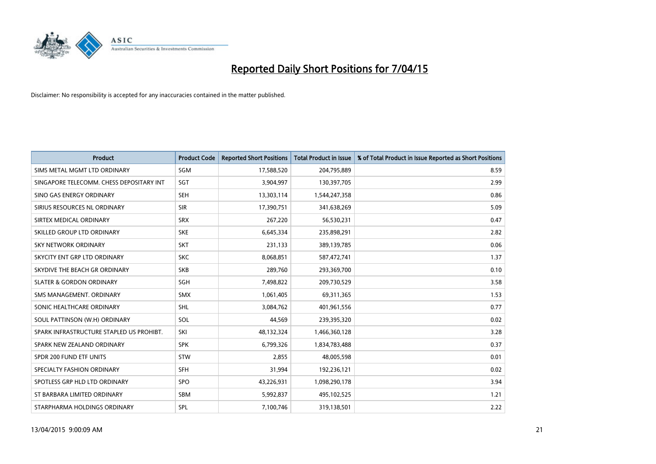

| <b>Product</b>                           | <b>Product Code</b> | <b>Reported Short Positions</b> | <b>Total Product in Issue</b> | % of Total Product in Issue Reported as Short Positions |
|------------------------------------------|---------------------|---------------------------------|-------------------------------|---------------------------------------------------------|
| SIMS METAL MGMT LTD ORDINARY             | <b>SGM</b>          | 17,588,520                      | 204,795,889                   | 8.59                                                    |
| SINGAPORE TELECOMM. CHESS DEPOSITARY INT | SGT                 | 3,904,997                       | 130,397,705                   | 2.99                                                    |
| SINO GAS ENERGY ORDINARY                 | <b>SEH</b>          | 13,303,114                      | 1,544,247,358                 | 0.86                                                    |
| SIRIUS RESOURCES NL ORDINARY             | <b>SIR</b>          | 17,390,751                      | 341,638,269                   | 5.09                                                    |
| SIRTEX MEDICAL ORDINARY                  | <b>SRX</b>          | 267,220                         | 56,530,231                    | 0.47                                                    |
| SKILLED GROUP LTD ORDINARY               | <b>SKE</b>          | 6,645,334                       | 235,898,291                   | 2.82                                                    |
| SKY NETWORK ORDINARY                     | <b>SKT</b>          | 231,133                         | 389,139,785                   | 0.06                                                    |
| SKYCITY ENT GRP LTD ORDINARY             | <b>SKC</b>          | 8,068,851                       | 587,472,741                   | 1.37                                                    |
| SKYDIVE THE BEACH GR ORDINARY            | <b>SKB</b>          | 289,760                         | 293,369,700                   | 0.10                                                    |
| <b>SLATER &amp; GORDON ORDINARY</b>      | SGH                 | 7,498,822                       | 209,730,529                   | 3.58                                                    |
| SMS MANAGEMENT. ORDINARY                 | <b>SMX</b>          | 1,061,405                       | 69,311,365                    | 1.53                                                    |
| SONIC HEALTHCARE ORDINARY                | SHL                 | 3,084,762                       | 401,961,556                   | 0.77                                                    |
| SOUL PATTINSON (W.H) ORDINARY            | SOL                 | 44,569                          | 239,395,320                   | 0.02                                                    |
| SPARK INFRASTRUCTURE STAPLED US PROHIBT. | SKI                 | 48,132,324                      | 1,466,360,128                 | 3.28                                                    |
| SPARK NEW ZEALAND ORDINARY               | <b>SPK</b>          | 6,799,326                       | 1,834,783,488                 | 0.37                                                    |
| SPDR 200 FUND ETF UNITS                  | <b>STW</b>          | 2,855                           | 48,005,598                    | 0.01                                                    |
| SPECIALTY FASHION ORDINARY               | SFH                 | 31,994                          | 192,236,121                   | 0.02                                                    |
| SPOTLESS GRP HLD LTD ORDINARY            | <b>SPO</b>          | 43,226,931                      | 1,098,290,178                 | 3.94                                                    |
| ST BARBARA LIMITED ORDINARY              | <b>SBM</b>          | 5,992,837                       | 495,102,525                   | 1.21                                                    |
| STARPHARMA HOLDINGS ORDINARY             | SPL                 | 7,100,746                       | 319,138,501                   | 2.22                                                    |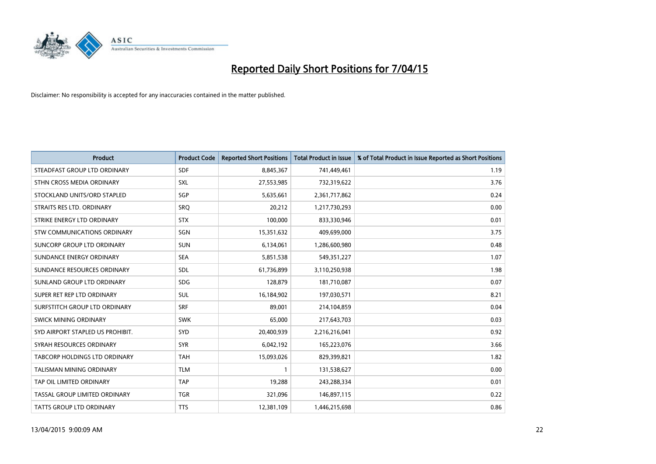

| <b>Product</b>                   | <b>Product Code</b> | <b>Reported Short Positions</b> | <b>Total Product in Issue</b> | % of Total Product in Issue Reported as Short Positions |
|----------------------------------|---------------------|---------------------------------|-------------------------------|---------------------------------------------------------|
| STEADFAST GROUP LTD ORDINARY     | <b>SDF</b>          | 8,845,367                       | 741,449,461                   | 1.19                                                    |
| STHN CROSS MEDIA ORDINARY        | <b>SXL</b>          | 27,553,985                      | 732,319,622                   | 3.76                                                    |
| STOCKLAND UNITS/ORD STAPLED      | SGP                 | 5,635,661                       | 2,361,717,862                 | 0.24                                                    |
| STRAITS RES LTD. ORDINARY        | SRQ                 | 20,212                          | 1,217,730,293                 | 0.00                                                    |
| STRIKE ENERGY LTD ORDINARY       | <b>STX</b>          | 100,000                         | 833,330,946                   | 0.01                                                    |
| STW COMMUNICATIONS ORDINARY      | SGN                 | 15,351,632                      | 409,699,000                   | 3.75                                                    |
| SUNCORP GROUP LTD ORDINARY       | <b>SUN</b>          | 6,134,061                       | 1,286,600,980                 | 0.48                                                    |
| SUNDANCE ENERGY ORDINARY         | <b>SEA</b>          | 5,851,538                       | 549,351,227                   | 1.07                                                    |
| SUNDANCE RESOURCES ORDINARY      | <b>SDL</b>          | 61,736,899                      | 3,110,250,938                 | 1.98                                                    |
| SUNLAND GROUP LTD ORDINARY       | <b>SDG</b>          | 128,879                         | 181,710,087                   | 0.07                                                    |
| SUPER RET REP LTD ORDINARY       | <b>SUL</b>          | 16,184,902                      | 197,030,571                   | 8.21                                                    |
| SURFSTITCH GROUP LTD ORDINARY    | <b>SRF</b>          | 89,001                          | 214,104,859                   | 0.04                                                    |
| SWICK MINING ORDINARY            | <b>SWK</b>          | 65,000                          | 217,643,703                   | 0.03                                                    |
| SYD AIRPORT STAPLED US PROHIBIT. | SYD                 | 20,400,939                      | 2,216,216,041                 | 0.92                                                    |
| SYRAH RESOURCES ORDINARY         | <b>SYR</b>          | 6,042,192                       | 165,223,076                   | 3.66                                                    |
| TABCORP HOLDINGS LTD ORDINARY    | <b>TAH</b>          | 15,093,026                      | 829,399,821                   | 1.82                                                    |
| TALISMAN MINING ORDINARY         | <b>TLM</b>          | $\mathbf{1}$                    | 131,538,627                   | 0.00                                                    |
| TAP OIL LIMITED ORDINARY         | <b>TAP</b>          | 19,288                          | 243,288,334                   | 0.01                                                    |
| TASSAL GROUP LIMITED ORDINARY    | <b>TGR</b>          | 321,096                         | 146,897,115                   | 0.22                                                    |
| TATTS GROUP LTD ORDINARY         | <b>TTS</b>          | 12,381,109                      | 1,446,215,698                 | 0.86                                                    |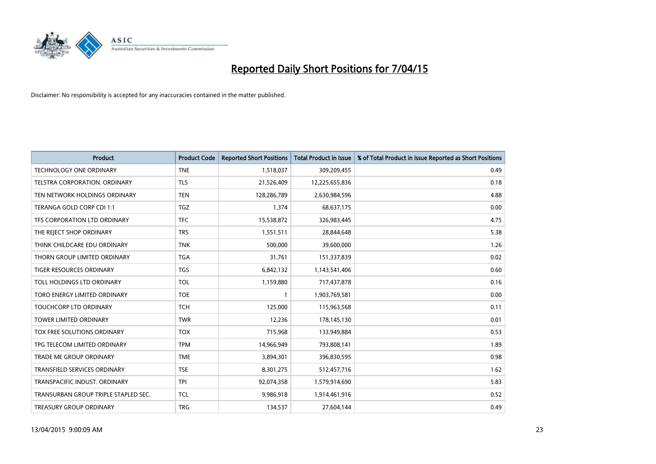

| <b>Product</b>                       | <b>Product Code</b> | <b>Reported Short Positions</b> | <b>Total Product in Issue</b> | % of Total Product in Issue Reported as Short Positions |
|--------------------------------------|---------------------|---------------------------------|-------------------------------|---------------------------------------------------------|
| <b>TECHNOLOGY ONE ORDINARY</b>       | <b>TNE</b>          | 1,518,037                       | 309,209,455                   | 0.49                                                    |
| TELSTRA CORPORATION. ORDINARY        | <b>TLS</b>          | 21,526,409                      | 12,225,655,836                | 0.18                                                    |
| TEN NETWORK HOLDINGS ORDINARY        | <b>TEN</b>          | 128,286,789                     | 2,630,984,596                 | 4.88                                                    |
| TERANGA GOLD CORP CDI 1:1            | <b>TGZ</b>          | 1,374                           | 68,637,175                    | 0.00                                                    |
| TFS CORPORATION LTD ORDINARY         | <b>TFC</b>          | 15,538,872                      | 326,983,445                   | 4.75                                                    |
| THE REJECT SHOP ORDINARY             | <b>TRS</b>          | 1,551,511                       | 28,844,648                    | 5.38                                                    |
| THINK CHILDCARE EDU ORDINARY         | <b>TNK</b>          | 500,000                         | 39,600,000                    | 1.26                                                    |
| THORN GROUP LIMITED ORDINARY         | <b>TGA</b>          | 31,761                          | 151,337,839                   | 0.02                                                    |
| <b>TIGER RESOURCES ORDINARY</b>      | <b>TGS</b>          | 6,842,132                       | 1,143,541,406                 | 0.60                                                    |
| TOLL HOLDINGS LTD ORDINARY           | <b>TOL</b>          | 1,159,880                       | 717,437,878                   | 0.16                                                    |
| TORO ENERGY LIMITED ORDINARY         | <b>TOE</b>          | 1                               | 1,903,769,581                 | 0.00                                                    |
| <b>TOUCHCORP LTD ORDINARY</b>        | <b>TCH</b>          | 125,000                         | 115,963,568                   | 0.11                                                    |
| <b>TOWER LIMITED ORDINARY</b>        | <b>TWR</b>          | 12,236                          | 178,145,130                   | 0.01                                                    |
| <b>TOX FREE SOLUTIONS ORDINARY</b>   | <b>TOX</b>          | 715,968                         | 133,949,884                   | 0.53                                                    |
| TPG TELECOM LIMITED ORDINARY         | <b>TPM</b>          | 14,966,949                      | 793,808,141                   | 1.89                                                    |
| TRADE ME GROUP ORDINARY              | <b>TME</b>          | 3,894,301                       | 396,830,595                   | 0.98                                                    |
| TRANSFIELD SERVICES ORDINARY         | <b>TSE</b>          | 8,301,275                       | 512,457,716                   | 1.62                                                    |
| TRANSPACIFIC INDUST, ORDINARY        | <b>TPI</b>          | 92,074,358                      | 1,579,914,690                 | 5.83                                                    |
| TRANSURBAN GROUP TRIPLE STAPLED SEC. | <b>TCL</b>          | 9,986,918                       | 1,914,461,916                 | 0.52                                                    |
| TREASURY GROUP ORDINARY              | <b>TRG</b>          | 134,537                         | 27,604,144                    | 0.49                                                    |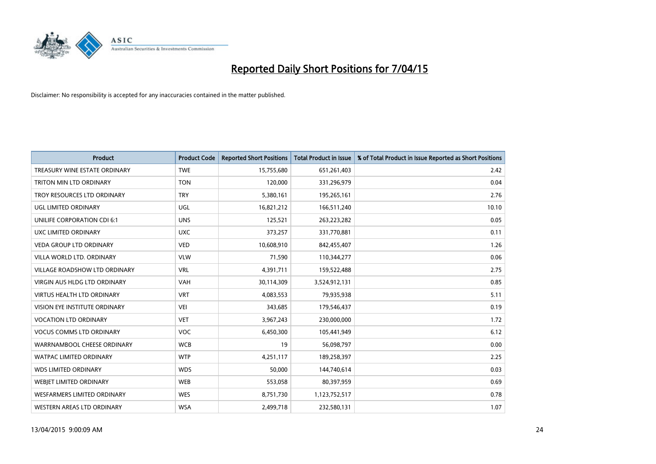

| <b>Product</b>                       | <b>Product Code</b> | <b>Reported Short Positions</b> | <b>Total Product in Issue</b> | % of Total Product in Issue Reported as Short Positions |
|--------------------------------------|---------------------|---------------------------------|-------------------------------|---------------------------------------------------------|
| TREASURY WINE ESTATE ORDINARY        | <b>TWE</b>          | 15,755,680                      | 651,261,403                   | 2.42                                                    |
| TRITON MIN LTD ORDINARY              | <b>TON</b>          | 120,000                         | 331,296,979                   | 0.04                                                    |
| TROY RESOURCES LTD ORDINARY          | <b>TRY</b>          | 5,380,161                       | 195,265,161                   | 2.76                                                    |
| UGL LIMITED ORDINARY                 | UGL                 | 16,821,212                      | 166,511,240                   | 10.10                                                   |
| UNILIFE CORPORATION CDI 6:1          | <b>UNS</b>          | 125,521                         | 263,223,282                   | 0.05                                                    |
| UXC LIMITED ORDINARY                 | <b>UXC</b>          | 373,257                         | 331,770,881                   | 0.11                                                    |
| <b>VEDA GROUP LTD ORDINARY</b>       | <b>VED</b>          | 10,608,910                      | 842,455,407                   | 1.26                                                    |
| VILLA WORLD LTD. ORDINARY            | <b>VLW</b>          | 71,590                          | 110,344,277                   | 0.06                                                    |
| VILLAGE ROADSHOW LTD ORDINARY        | <b>VRL</b>          | 4,391,711                       | 159,522,488                   | 2.75                                                    |
| VIRGIN AUS HLDG LTD ORDINARY         | <b>VAH</b>          | 30,114,309                      | 3,524,912,131                 | 0.85                                                    |
| VIRTUS HEALTH LTD ORDINARY           | <b>VRT</b>          | 4,083,553                       | 79,935,938                    | 5.11                                                    |
| <b>VISION EYE INSTITUTE ORDINARY</b> | <b>VEI</b>          | 343,685                         | 179,546,437                   | 0.19                                                    |
| <b>VOCATION LTD ORDINARY</b>         | <b>VET</b>          | 3,967,243                       | 230,000,000                   | 1.72                                                    |
| <b>VOCUS COMMS LTD ORDINARY</b>      | <b>VOC</b>          | 6,450,300                       | 105,441,949                   | 6.12                                                    |
| WARRNAMBOOL CHEESE ORDINARY          | <b>WCB</b>          | 19                              | 56,098,797                    | 0.00                                                    |
| WATPAC LIMITED ORDINARY              | <b>WTP</b>          | 4,251,117                       | 189,258,397                   | 2.25                                                    |
| <b>WDS LIMITED ORDINARY</b>          | <b>WDS</b>          | 50,000                          | 144,740,614                   | 0.03                                                    |
| WEBJET LIMITED ORDINARY              | <b>WEB</b>          | 553,058                         | 80,397,959                    | 0.69                                                    |
| <b>WESFARMERS LIMITED ORDINARY</b>   | <b>WES</b>          | 8,751,730                       | 1,123,752,517                 | 0.78                                                    |
| WESTERN AREAS LTD ORDINARY           | <b>WSA</b>          | 2,499,718                       | 232,580,131                   | 1.07                                                    |